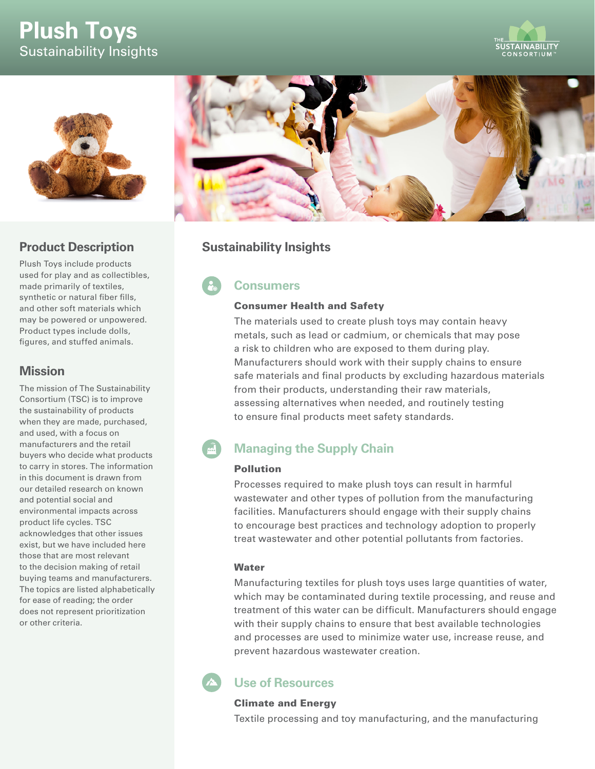# **Plush Toys** Sustainability Insights





### **Product Description**

Plush Toys include products used for play and as collectibles, made primarily of textiles, synthetic or natural fiber fills, and other soft materials which may be powered or unpowered. Product types include dolls, figures, and stuffed animals.

### **Mission**

The mission of The Sustainability Consortium (TSC) is to improve the sustainability of products when they are made, purchased, and used, with a focus on manufacturers and the retail buyers who decide what products to carry in stores. The information in this document is drawn from our detailed research on known and potential social and environmental impacts across product life cycles. TSC acknowledges that other issues exist, but we have included here those that are most relevant to the decision making of retail buying teams and manufacturers. The topics are listed alphabetically for ease of reading; the order does not represent prioritization or other criteria.



### **Sustainability Insights**

## **Consumers**

#### Consumer Health and Safety

The materials used to create plush toys may contain heavy metals, such as lead or cadmium, or chemicals that may pose a risk to children who are exposed to them during play. Manufacturers should work with their supply chains to ensure safe materials and final products by excluding hazardous materials from their products, understanding their raw materials, assessing alternatives when needed, and routinely testing to ensure final products meet safety standards.

#### $\vec{m}$ **Managing the Supply Chain**

#### Pollution

Processes required to make plush toys can result in harmful wastewater and other types of pollution from the manufacturing facilities. Manufacturers should engage with their supply chains to encourage best practices and technology adoption to properly treat wastewater and other potential pollutants from factories.

#### **Water**

Manufacturing textiles for plush toys uses large quantities of water, which may be contaminated during textile processing, and reuse and treatment of this water can be difficult. Manufacturers should engage with their supply chains to ensure that best available technologies and processes are used to minimize water use, increase reuse, and prevent hazardous wastewater creation.

### **Use of Resources**

### Climate and Energy

Textile processing and toy manufacturing, and the manufacturing